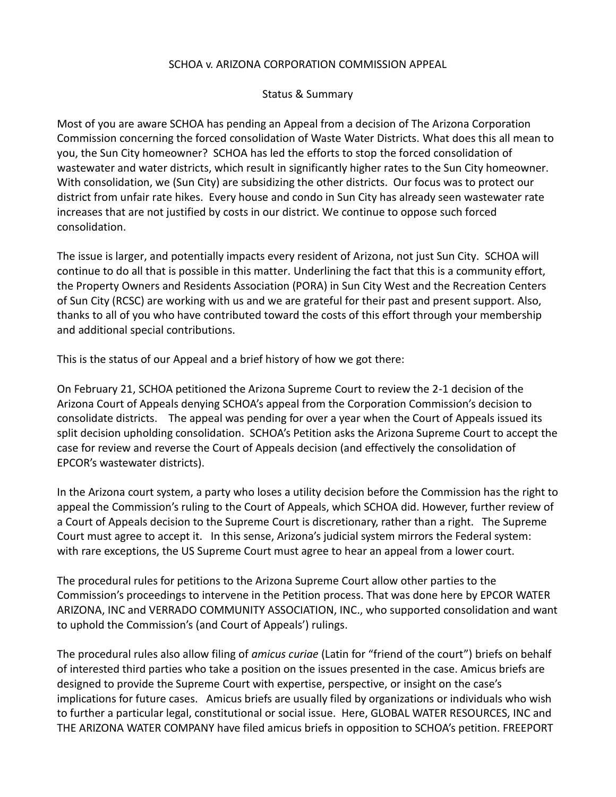## SCHOA v. ARIZONA CORPORATION COMMISSION APPEAL

## Status & Summary

Most of you are aware SCHOA has pending an Appeal from a decision of The Arizona Corporation Commission concerning the forced consolidation of Waste Water Districts. What does this all mean to you, the Sun City homeowner? SCHOA has led the efforts to stop the forced consolidation of wastewater and water districts, which result in significantly higher rates to the Sun City homeowner. With consolidation, we (Sun City) are subsidizing the other districts. Our focus was to protect our district from unfair rate hikes. Every house and condo in Sun City has already seen wastewater rate increases that are not justified by costs in our district. We continue to oppose such forced consolidation.

The issue is larger, and potentially impacts every resident of Arizona, not just Sun City. SCHOA will continue to do all that is possible in this matter. Underlining the fact that this is a community effort, the Property Owners and Residents Association (PORA) in Sun City West and the Recreation Centers of Sun City (RCSC) are working with us and we are grateful for their past and present support. Also, thanks to all of you who have contributed toward the costs of this effort through your membership and additional special contributions.

This is the status of our Appeal and a brief history of how we got there:

On February 21, SCHOA petitioned the Arizona Supreme Court to review the 2-1 decision of the Arizona Court of Appeals denying SCHOA's appeal from the Corporation Commission's decision to consolidate districts. The appeal was pending for over a year when the Court of Appeals issued its split decision upholding consolidation. SCHOA's Petition asks the Arizona Supreme Court to accept the case for review and reverse the Court of Appeals decision (and effectively the consolidation of EPCOR's wastewater districts).

In the Arizona court system, a party who loses a utility decision before the Commission has the right to appeal the Commission's ruling to the Court of Appeals, which SCHOA did. However, further review of a Court of Appeals decision to the Supreme Court is discretionary, rather than a right. The Supreme Court must agree to accept it. In this sense, Arizona's judicial system mirrors the Federal system: with rare exceptions, the US Supreme Court must agree to hear an appeal from a lower court.

The procedural rules for petitions to the Arizona Supreme Court allow other parties to the Commission's proceedings to intervene in the Petition process. That was done here by EPCOR WATER ARIZONA, INC and VERRADO COMMUNITY ASSOCIATION, INC., who supported consolidation and want to uphold the Commission's (and Court of Appeals') rulings.

The procedural rules also allow filing of *amicus curiae* (Latin for "friend of the court") briefs on behalf of interested third parties who take a position on the issues presented in the case. Amicus briefs are designed to provide the Supreme Court with expertise, perspective, or insight on the case's implications for future cases. Amicus briefs are usually filed by organizations or individuals who wish to further a particular legal, constitutional or social issue. Here, GLOBAL WATER RESOURCES, INC and THE ARIZONA WATER COMPANY have filed amicus briefs in opposition to SCHOA's petition. FREEPORT